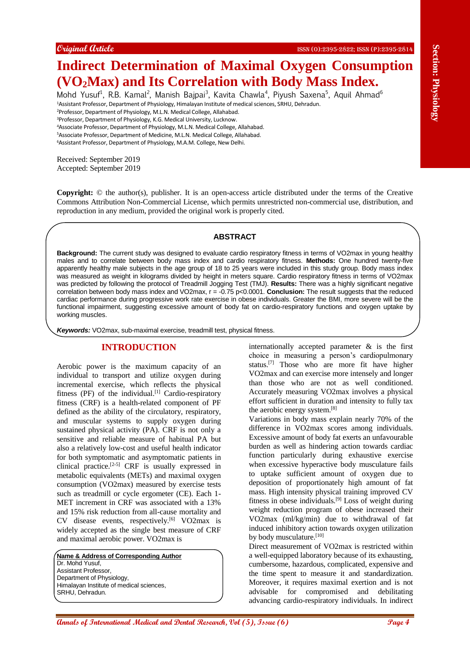# **Indirect Determination of Maximal Oxygen Consumption (VO2Max) and Its Correlation with Body Mass Index.**

Mohd Yusuf<sup>1</sup>, R.B. Kamal<sup>2</sup>, Manish Bajpai<sup>3</sup>, Kavita Chawla<sup>4</sup>, Piyush Saxena<sup>5</sup>, Aquil Ahmad<sup>6</sup> <sup>1</sup>Assistant Professor, Department of Physiology, Himalayan Institute of medical sciences, SRHU, Dehradun.

<sup>2</sup>Professor, Department of Physiology, M.L.N. Medical College, Allahabad.

<sup>3</sup>Professor, Department of Physiology, K.G. Medical University, Lucknow.

<sup>4</sup>Associate Professor, Department of Physiology, M.L.N. Medical College, Allahabad.

<sup>5</sup>Associate Professor, Department of Medicine, M.L.N. Medical College, Allahabad.

<sup>6</sup>Assistant Professor, Department of Physiology, M.A.M. College, New Delhi.

Received: September 2019 Accepted: September 2019

**Copyright:** © the author(s), publisher. It is an open-access article distributed under the terms of the Creative Commons Attribution Non-Commercial License, which permits unrestricted non-commercial use, distribution, and reproduction in any medium, provided the original work is properly cited.

### **ABSTRACT**

**Background:** The current study was designed to evaluate cardio respiratory fitness in terms of VO2max in young healthy males and to correlate between body mass index and cardio respiratory fitness. **Methods:** One hundred twenty-five apparently healthy male subjects in the age group of 18 to 25 years were included in this study group. Body mass index was measured as weight in kilograms divided by height in meters square. Cardio respiratory fitness in terms of VO2max was predicted by following the protocol of Treadmill Jogging Test (TMJ). **Results:** There was a highly significant negative correlation between body mass index and VO2max, r = -0.75 p<0.0001. **Conclusion:** The result suggests that the reduced cardiac performance during progressive work rate exercise in obese individuals. Greater the BMI, more severe will be the functional impairment, suggesting excessive amount of body fat on cardio-respiratory functions and oxygen uptake by working muscles.

*Keywords:* VO2max, sub-maximal exercise, treadmill test, physical fitness.

# **INTRODUCTION**

**Annals of Conserver Conserver Conserver Conserver Conserver Conserver Conserver Conserver Conserver Conserver Conserver Conserver Conserver Conserver Conserver Conserver Conserver Conserver Conserver Conserver Conserver C** Aerobic power is the maximum capacity of an individual to transport and utilize oxygen during incremental exercise, which reflects the physical fitness (PF) of the individual.<sup>[1]</sup> Cardio-respiratory fitness (CRF) is a health-related component of PF defined as the ability of the circulatory, respiratory, and muscular systems to supply oxygen during sustained physical activity (PA). CRF is not only a sensitive and reliable measure of habitual PA but also a relatively low-cost and useful health indicator for both symptomatic and asymptomatic patients in clinical practice.[2-5] CRF is usually expressed in metabolic equivalents (METs) and maximal oxygen consumption (VO2max) measured by exercise tests such as treadmill or cycle ergometer (CE). Each 1- MET increment in CRF was associated with a 13% and 15% risk reduction from all-cause mortality and CV disease events, respectively.[6] VO2max is widely accepted as the single best measure of CRF and maximal aerobic power. VO2max is

**Name & Address of Corresponding Author** Dr. Mohd Yusuf, Assistant Professor, Department of Physiology, Himalayan Institute of medical sciences, SRHU, Dehradun.

internationally accepted parameter & is the first choice in measuring a person's cardiopulmonary status.[7] Those who are more fit have higher VO2max and can exercise more intensely and longer than those who are not as well conditioned. Accurately measuring VO2max involves a physical effort sufficient in duration and intensity to fully tax the aerobic energy system.[8]

Variations in body mass explain nearly 70% of the difference in VO2max scores among individuals. Excessive amount of body fat exerts an unfavourable burden as well as hindering action towards cardiac function particularly during exhaustive exercise when excessive hyperactive body musculature fails to uptake sufficient amount of oxygen due to deposition of proportionately high amount of fat mass. High intensity physical training improved CV fitness in obese individuals.[9] Loss of weight during weight reduction program of obese increased their VO2max (ml/kg/min) due to withdrawal of fat induced inhibitory action towards oxygen utilization by body musculature.<sup>[10]</sup>

Direct measurement of VO2max is restricted within a well-equipped laboratory because of its exhausting, cumbersome, hazardous, complicated, expensive and the time spent to measure it and standardization. Moreover, it requires maximal exertion and is not advisable for compromised and debilitating advancing cardio-respiratory individuals. In indirect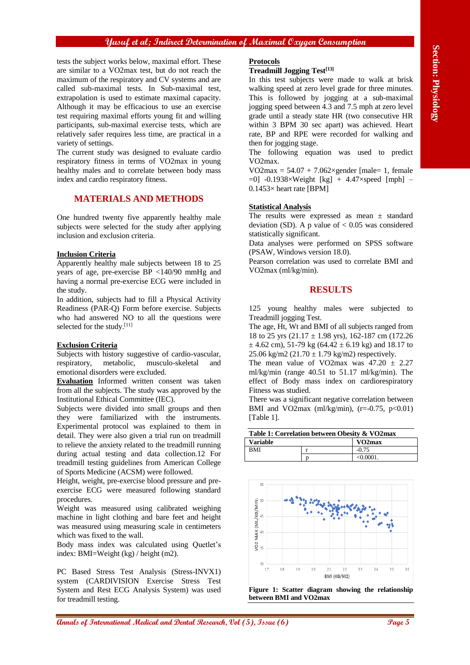#### **Yusuf et al; Indirect Determination of Maximal Oxygen Consumption**

tests the subject works below, maximal effort. These are similar to a VO2max test, but do not reach the maximum of the respiratory and CV systems and are called sub-maximal tests. In Sub-maximal test, extrapolation is used to estimate maximal capacity. Although it may be efficacious to use an exercise test requiring maximal efforts young fit and willing participants, sub-maximal exercise tests, which are relatively safer requires less time, are practical in a variety of settings.

The current study was designed to evaluate cardio respiratory fitness in terms of VO2max in young healthy males and to correlate between body mass index and cardio respiratory fitness.

## **MATERIALS AND METHODS**

One hundred twenty five apparently healthy male subjects were selected for the study after applying inclusion and exclusion criteria.

#### **Inclusion Criteria**

Apparently healthy male subjects between 18 to 25 years of age, pre-exercise BP <140/90 mmHg and having a normal pre-exercise ECG were included in the study.

In addition, subjects had to fill a Physical Activity Readiness (PAR-Q) Form before exercise. Subjects who had answered NO to all the questions were selected for the study.<sup>[11]</sup>

#### **Exclusion Criteria**

Subjects with history suggestive of cardio-vascular, respiratory, metabolic, musculo-skeletal and emotional disorders were excluded.

**Evaluation** Informed written consent was taken from all the subjects. The study was approved by the Institutional Ethical Committee (IEC).

Subjects were divided into small groups and then they were familiarized with the instruments. Experimental protocol was explained to them in detail. They were also given a trial run on treadmill to relieve the anxiety related to the treadmill running during actual testing and data collection.12 For treadmill testing guidelines from American College of Sports Medicine (ACSM) were followed.

Height, weight, pre-exercise blood pressure and preexercise ECG were measured following standard procedures.

Weight was measured using calibrated weighing machine in light clothing and bare feet and height was measured using measuring scale in centimeters which was fixed to the wall.

Body mass index was calculated using Quetlet's index: BMI=Weight (kg) / height (m2).

PC Based Stress Test Analysis (Stress-INVX1) system (CARDIVISION Exercise Stress Test System and Rest ECG Analysis System) was used for treadmill testing.

#### **Protocols**

#### **Treadmill Jogging Test[13]**

In this test subjects were made to walk at brisk walking speed at zero level grade for three minutes. This is followed by jogging at a sub-maximal jogging speed between 4.3 and 7.5 mph at zero level grade until a steady state HR (two consecutive HR within 3 BPM 30 sec apart) was achieved. Heart rate, BP and RPE were recorded for walking and then for jogging stage.

The following equation was used to predict VO2max.

VO2max =  $54.07 + 7.062 \times$ gender [male= 1, female  $= 0$ ] -0.1938×Weight [kg] + 4.47×speed [mph] –  $0.1453\times$  heart rate [BPM]

#### **Statistical Analysis**

The results were expressed as mean ± standard deviation (SD). A p value of  $< 0.05$  was considered statistically significant.

Data analyses were performed on SPSS software (PSAW, Windows version 18.0).

Pearson correlation was used to correlate BMI and VO2max (ml/kg/min).

## **RESULTS**

125 young healthy males were subjected to Treadmill jogging Test.

The age, Ht, Wt and BMI of all subjects ranged from 18 to 25 yrs  $(21.17 \pm 1.98 \text{ yrs})$ , 162-187 cm (172.26)  $\pm$  4.62 cm), 51-79 kg (64.42  $\pm$  6.19 kg) and 18.17 to 25.06 kg/m2 (21.70  $\pm$  1.79 kg/m2) respectively.

The mean value of VO2max was  $47.20 \pm 2.27$ ml/kg/min (range 40.51 to 51.17 ml/kg/min). The effect of Body mass index on cardiorespiratory Fitness was studied.

There was a significant negative correlation between BMI and VO2max (ml/kg/min), (r= $-0.75$ , p<0.01) [Table 1].

| Table 1: Correlation between Obesity & VO2max |  |                     |
|-----------------------------------------------|--|---------------------|
| <b>Variable</b>                               |  | VO <sub>2</sub> max |
| <b>BMI</b>                                    |  | $-0.75$             |
|                                               |  | < 0.0001.           |



**Figure 1: Scatter diagram showing the relationship between BMI and VO2max**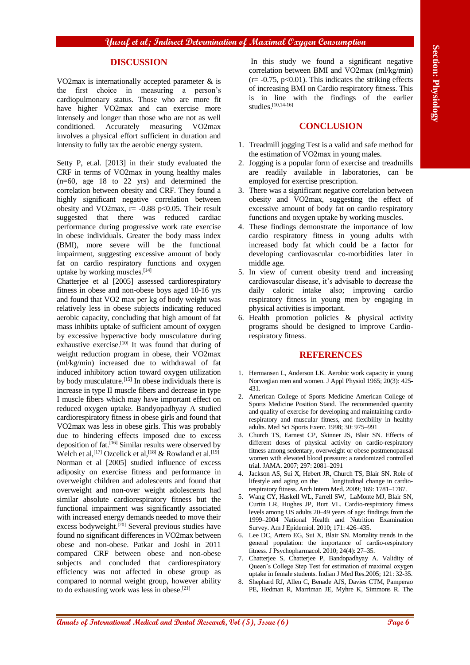# **DISCUSSION**

VO2max is internationally accepted parameter  $\&$  is the first choice in measuring a person's cardiopulmonary status. Those who are more fit have higher VO2max and can exercise more intensely and longer than those who are not as well conditioned. Accurately measuring VO2max involves a physical effort sufficient in duration and intensity to fully tax the aerobic energy system.

Setty P, et.al. [2013] in their study evaluated the CRF in terms of VO2max in young healthy males (n=60, age 18 to 22 yrs) and determined the correlation between obesity and CRF. They found a highly significant negative correlation between obesity and VO2max,  $r= -0.88$  p<0.05. Their result suggested that there was reduced cardiac performance during progressive work rate exercise in obese individuals. Greater the body mass index (BMI), more severe will be the functional impairment, suggesting excessive amount of body fat on cardio respiratory functions and oxygen uptake by working muscles.[14]

**IDENTIFYERS IVERSE AND**<br> **ANNALS CONSULS AREA CONSULS AND CONSULS AREA CONSULS AREA CONSULS THE INSURANCE INTERNATION CONSULS THE INTERNATION CONSULS THE CONSULS THE CONSULS THE CONSULS THE CONSULS THE CONSULS THE CONSUL** Chatterjee et al [2005] assessed cardiorespiratory fitness in obese and non-obese boys aged 10-16 yrs and found that VO2 max per kg of body weight was relatively less in obese subjects indicating reduced aerobic capacity, concluding that high amount of fat mass inhibits uptake of sufficient amount of oxygen by excessive hyperactive body musculature during exhaustive exercise.<sup>[10]</sup> It was found that during of weight reduction program in obese, their VO2max (ml/kg/min) increased due to withdrawal of fat induced inhibitory action toward oxygen utilization by body musculature.<sup>[15]</sup> In obese individuals there is increase in type II muscle fibers and decrease in type I muscle fibers which may have important effect on reduced oxygen uptake. Bandyopadhyay A studied cardiorespiratory fitness in obese girls and found that VO2max was less in obese girls. This was probably due to hindering effects imposed due to excess deposition of fat.[16] Similar results were observed by Welch et al,<sup>[17]</sup> Ozcelick et al,<sup>[18]</sup> & Rowland et al.<sup>[19]</sup> Norman et al [2005] studied influence of excess adiposity on exercise fitness and performance in overweight children and adolescents and found that overweight and non-over weight adolescents had similar absolute cardiorespiratory fitness but the functional impairment was significantly associated with increased energy demands needed to move their excess bodyweight.[20] Several previous studies have found no significant differences in VO2max between obese and non-obese. Patkar and Joshi in 2011 compared CRF between obese and non-obese subjects and concluded that cardiorespiratory efficiency was not affected in obese group as compared to normal weight group, however ability to do exhausting work was less in obese.[21]

In this study we found a significant negative correlation between BMI and VO2max (ml/kg/min)  $(r = -0.75, p < 0.01)$ . This indicates the striking effects of increasing BMI on Cardio respiratory fitness. This is in line with the findings of the earlier studies. [10,14-16]

# **CONCLUSION**

- 1. Treadmill jogging Test is a valid and safe method for the estimation of VO2max in young males.
- 2. Jogging is a popular form of exercise and treadmills are readily available in laboratories, can be employed for exercise prescription.
- 3. There was a significant negative correlation between obesity and VO2max, suggesting the effect of excessive amount of body fat on cardio respiratory functions and oxygen uptake by working muscles.
- 4. These findings demonstrate the importance of low cardio respiratory fitness in young adults with increased body fat which could be a factor for developing cardiovascular co-morbidities later in middle age.
- 5. In view of current obesity trend and increasing cardiovascular disease, it's advisable to decrease the daily caloric intake also; improving cardio respiratory fitness in young men by engaging in physical activities is important.
- 6. Health promotion policies & physical activity programs should be designed to improve Cardiorespiratory fitness.

### **REFERENCES**

- 1. Hermansen L, Anderson LK. Aerobic work capacity in young Norwegian men and women. J Appl Physiol 1965; 20(3): 425- 431.
- 2. American College of Sports Medicine American College of Sports Medicine Position Stand. The recommended quantity and quality of exercise for developing and maintaining cardiorespiratory and muscular fitness, and flexibility in healthy adults. Med Sci Sports Exerc. 1998; 30: 975–991
- 3. Church TS, Earnest CP, Skinner JS, Blair SN. Effects of different doses of physical activity on cardio-respiratory fitness among sedentary, overweight or obese postmenopausal women with elevated blood pressure: a randomized controlled trial. JAMA. 2007; 297: 2081–2091
- 4. Jackson AS, Sui X, Hebert JR, Church TS, Blair SN. Role of lifestyle and aging on the longitudinal change in cardiorespiratory fitness. Arch Intern Med. 2009; 169: 1781–1787.
- 5. Wang CY, Haskell WL, Farrell SW, LaMonte MJ, Blair SN, Curtin LR, Hughes JP, Burt VL. Cardio-respiratory fitness levels among US adults 20–49 years of age: findings from the 1999–2004 National Health and Nutrition Examination Survey. Am J Epidemiol. 2010; 171: 426–435.
- 6. Lee DC, Artero EG, Sui X, Blair SN. Mortality trends in the general population: the importance of cardio-respiratory fitness. J Psychopharmacol. 2010; 24(4): 27–35.
- 7. Chatterjee S, Chatterjee P, Bandopadhyay A. Validity of Queen's College Step Test for estimation of maximal oxygen uptake in female students. Indian J Med Res.2005; 121: 32-35.
- 8. Shephard RJ, Allen C, Benade AJS, Davies CTM, Pamperao PE, Hedman R, Marriman JE, Myhre K, Simmons R. The